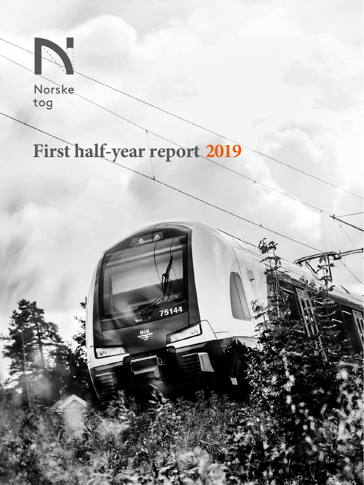

Norske tog

1

# **First half-year report 2019**

 $\mathbb{G}$ 

75144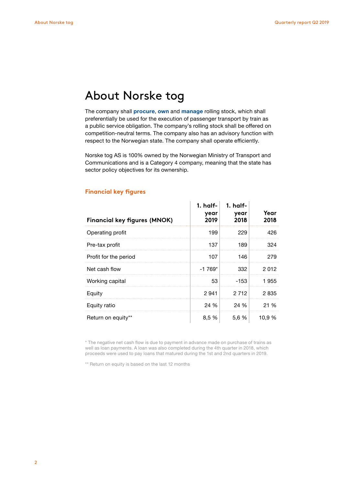### About Norske tog

The company shall **procure**, **own** and **manage** rolling stock, which shall preferentially be used for the execution of passenger transport by train as a public service obligation. The company's rolling stock shall be offered on competition-neutral terms. The company also has an advisory function with respect to the Norwegian state. The company shall operate efficiently.

Norske tog AS is 100% owned by the Norwegian Ministry of Transport and Communications and is a Category 4 company, meaning that the state has sector policy objectives for its ownership.

| <b>Financial key figures (MNOK)</b> | 1. half-<br>year<br>2019 | $1.$ half-<br>year<br>2018 | Year<br>2018 |
|-------------------------------------|--------------------------|----------------------------|--------------|
| Operating profit                    | 199                      | 229                        | 426          |
| Pre-tax profit                      | 137                      | 189                        | 324          |
| Profit for the period               | 107                      | 146                        | 279          |
| Net cash flow                       | $-1769*$                 | 332                        | 2012         |
| Working capital                     | 53                       | $-153$                     | 1955         |
| Equity                              | 2941                     | 2 7 1 2                    | 2835         |
| Equity ratio                        | 24 %                     | 24 %                       | 21 %         |
| Return on equity**                  | 8.5 %                    | 5,6 %                      | 10.9 %       |

### **Financial key figures**

\* The negative net cash flow is due to payment in advance made on purchase of trains as well as loan payments. A loan was also completed during the 4th quarter in 2018, which proceeds were used to pay loans that matured during the 1st and 2nd quarters in 2019.

\*\* Return on equity is based on the last 12 months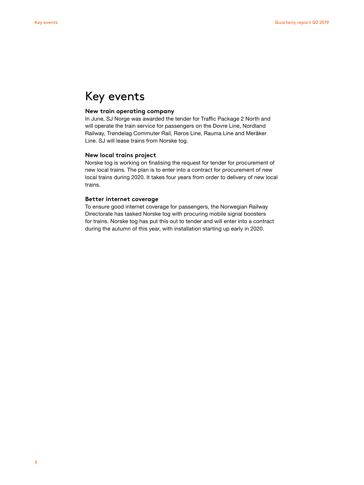### Key events

### **New train operating company**

In June, SJ Norge was awarded the tender for Traffic Package 2 North and will operate the train service for passengers on the Dovre Line, Nordland Railway, Trøndelag Commuter Rail, Røros Line, Rauma Line and Meråker Line. SJ will lease trains from Norske tog.

### **New local trains project**

Norske tog is working on finalising the request for tender for procurement of new local trains. The plan is to enter into a contract for procurement of new local trains during 2020. It takes four years from order to delivery of new local trains.

### **Better internet coverage**

To ensure good internet coverage for passengers, the Norwegian Railway Directorate has tasked Norske tog with procuring mobile signal boosters for trains. Norske tog has put this out to tender and will enter into a contract during the autumn of this year, with installation starting up early in 2020.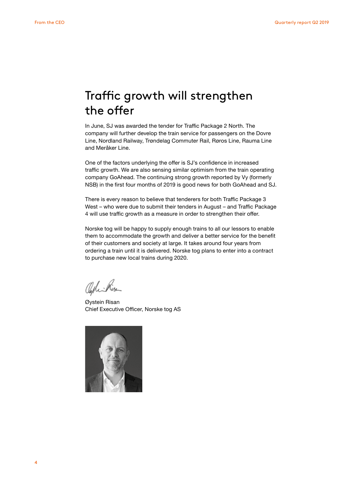### Traffic growth will strengthen the offer

In June, SJ was awarded the tender for Traffic Package 2 North. The company will further develop the train service for passengers on the Dovre Line, Nordland Railway, Trøndelag Commuter Rail, Røros Line, Rauma Line and Meråker Line.

One of the factors underlying the offer is SJ's confidence in increased traffic growth. We are also sensing similar optimism from the train operating company GoAhead. The continuing strong growth reported by Vy (formerly NSB) in the first four months of 2019 is good news for both GoAhead and SJ.

There is every reason to believe that tenderers for both Traffic Package 3 West – who were due to submit their tenders in August – and Traffic Package 4 will use traffic growth as a measure in order to strengthen their offer.

Norske tog will be happy to supply enough trains to all our lessors to enable them to accommodate the growth and deliver a better service for the benefit of their customers and society at large. It takes around four years from ordering a train until it is delivered. Norske tog plans to enter into a contract to purchase new local trains during 2020.

Offici Risa

Øystein Risan Chief Executive Officer, Norske tog AS

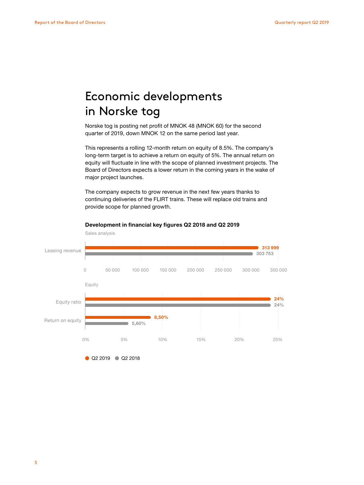## Economic developments in Norske tog

Norske tog is posting net profit of MNOK 48 (MNOK 60) for the second quarter of 2019, down MNOK 12 on the same period last year.

This represents a rolling 12-month return on equity of 8.5%. The company's long-term target is to achieve a return on equity of 5%. The annual return on equity will fluctuate in line with the scope of planned investment projects. The Board of Directors expects a lower return in the coming years in the wake of major project launches.

The company expects to grow revenue in the next few years thanks to continuing deliveries of the FLIRT trains. These will replace old trains and provide scope for planned growth.



#### **Development in financial key figures Q2 2018 and Q2 2019**

Q2 2019 Q2 2018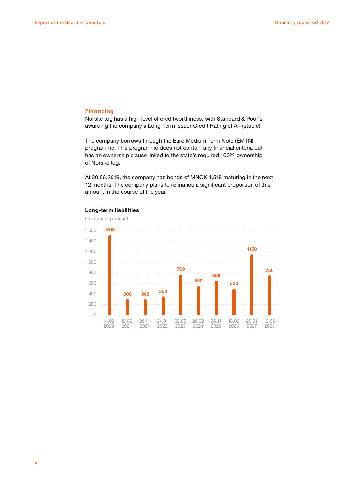### **Financing**

Norske tog has a high level of creditworthiness, with Standard & Poor's awarding the company a Long-Term Issuer Credit Rating of A+ (stable).

The company borrows through the Euro Medium Term Note (EMTN) programme. This programme does not contain any financial criteria but has an ownership clause linked to the state's required 100% ownership of Norske tog.

At 30.06.2019, the company has bonds of MNOK 1,518 maturing in the next 12 months. The company plans to refinance a significant proportion of this amount in the course of the year.



#### **Long-term liabilities**

6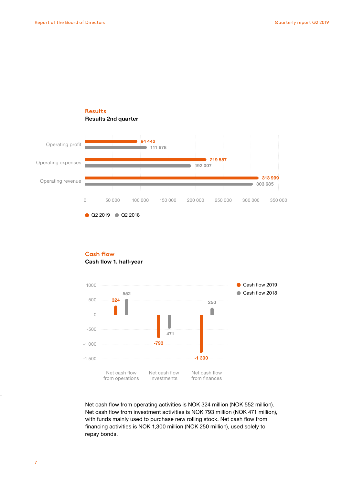### **Results Results 2nd quarter**



Q2 2019 Q2 2018

### **Cash flow 1. half-year Cash flow**



Net cash flow from operating activities is NOK 324 million (NOK 552 million). Net cash flow from investment activities is NOK 793 million (NOK 471 million), with funds mainly used to purchase new rolling stock. Net cash flow from financing activities is NOK 1,300 million (NOK 250 million), used solely to repay bonds.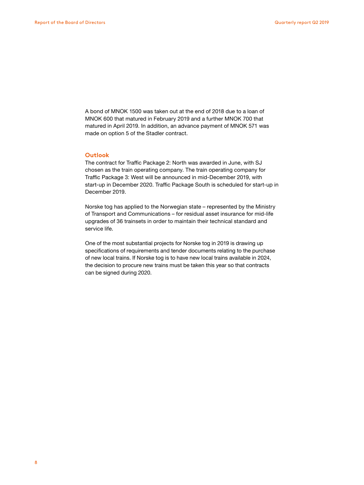A bond of MNOK 1500 was taken out at the end of 2018 due to a loan of MNOK 600 that matured in February 2019 and a further MNOK 700 that matured in April 2019. In addition, an advance payment of MNOK 571 was made on option 5 of the Stadler contract.

### **Outlook**

The contract for Traffic Package 2: North was awarded in June, with SJ chosen as the train operating company. The train operating company for Traffic Package 3: West will be announced in mid-December 2019, with start-up in December 2020. Traffic Package South is scheduled for start-up in December 2019.

Norske tog has applied to the Norwegian state – represented by the Ministry of Transport and Communications – for residual asset insurance for mid-life upgrades of 36 trainsets in order to maintain their technical standard and service life.

One of the most substantial projects for Norske tog in 2019 is drawing up specifications of requirements and tender documents relating to the purchase of new local trains. If Norske tog is to have new local trains available in 2024, the decision to procure new trains must be taken this year so that contracts can be signed during 2020.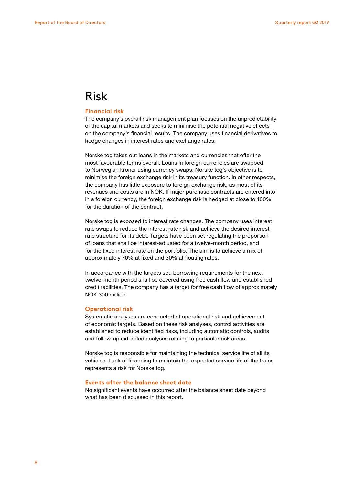### Risk

### **Financial risk**

The company's overall risk management plan focuses on the unpredictability of the capital markets and seeks to minimise the potential negative effects on the company's financial results. The company uses financial derivatives to hedge changes in interest rates and exchange rates.

Norske tog takes out loans in the markets and currencies that offer the most favourable terms overall. Loans in foreign currencies are swapped to Norwegian kroner using currency swaps. Norske tog's objective is to minimise the foreign exchange risk in its treasury function. In other respects, the company has little exposure to foreign exchange risk, as most of its revenues and costs are in NOK. If major purchase contracts are entered into in a foreign currency, the foreign exchange risk is hedged at close to 100% for the duration of the contract.

Norske tog is exposed to interest rate changes. The company uses interest rate swaps to reduce the interest rate risk and achieve the desired interest rate structure for its debt. Targets have been set regulating the proportion of loans that shall be interest-adjusted for a twelve-month period, and for the fixed interest rate on the portfolio. The aim is to achieve a mix of approximately 70% at fixed and 30% at floating rates.

In accordance with the targets set, borrowing requirements for the next twelve-month period shall be covered using free cash flow and established credit facilities. The company has a target for free cash flow of approximately NOK 300 million.

#### **Operational risk**

Systematic analyses are conducted of operational risk and achievement of economic targets. Based on these risk analyses, control activities are established to reduce identified risks, including automatic controls, audits and follow-up extended analyses relating to particular risk areas.

Norske tog is responsible for maintaining the technical service life of all its vehicles. Lack of financing to maintain the expected service life of the trains represents a risk for Norske tog.

### **Events after the balance sheet date**

No significant events have occurred after the balance sheet date beyond what has been discussed in this report.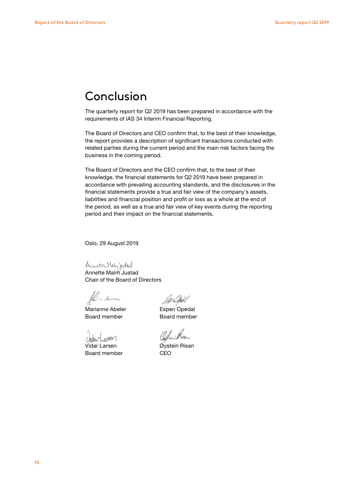### Conclusion

The quarterly report for Q2 2019 has been prepared in accordance with the requirements of IAS 34 Interim Financial Reporting.

The Board of Directors and CEO confirm that, to the best of their knowledge, the report provides a description of significant transactions conducted with related parties during the current period and the main risk factors facing the business in the coming period.

The Board of Directors and the CEO confirm that, to the best of their knowledge, the financial statements for Q2 2019 have been prepared in accordance with prevailing accounting standards, and the disclosures in the financial statements provide a true and fair view of the company's assets, liabilities and financial position and profit or loss as a whole at the end of the period, as well as a true and fair view of key events during the reporting period and their impact on the financial statements.

Oslo, 29 August 2019

Annette Malm Justad Chair of the Board of Directors

 $\stackrel{\scriptscriptstyle\diagup}{\scriptscriptstyle\sim}$   $\scriptstyle\mathcal{A}$ 

Marianne Abeler **Espen Opedal** Board member Board member

Chartragen

Vidar Larsen Øystein Risan Board member CEO

Offici Rise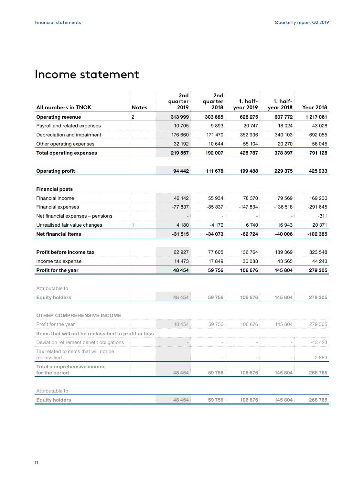### Income statement

| All numbers in TNOK                                   | <b>Notes</b> | 2nd<br>quarter<br>2019 | 2nd<br>quarter<br>2018 | 1. half-<br>year 2019 | 1. half-<br>year 2018 | <b>Year 2018</b> |
|-------------------------------------------------------|--------------|------------------------|------------------------|-----------------------|-----------------------|------------------|
| <b>Operating revenue</b>                              | 2            | 313999                 | 303 685                | 628 275               | 607 772               | 1 217 061        |
| Payroll and related expenses                          |              | 10 705                 | 9893                   | 20747                 | 18 0 24               | 43 0 28          |
| Depreciation and impairment                           |              | 176 660                | 171 470                | 352 936               | 340 103               | 692 055          |
| Other operating expenses                              |              | 32 192                 | 10 644                 | 55 104                | 20 270                | 56 045           |
| <b>Total operating expenses</b>                       |              | 219 557                | 192 007                | 428787                | 378 397               | 791 128          |
| <b>Operating profit</b>                               |              | 94 442                 | 111 678                | 199 488               | 229 375               | 425 933          |
| <b>Financial posts</b>                                |              |                        |                        |                       |                       |                  |
| Financial income                                      |              | 42 142                 | 55 934                 | 78 370                | 79 569                | 169 200          |
| Financial expenses                                    |              | -77 837                | $-85837$               | $-147834$             | -136 518              | $-291645$        |
| Net financial expenses – pensions                     |              |                        |                        |                       |                       | $-311$           |
| Unrealised fair value changes                         | 1            | 4 180                  | -4 170                 | 6740                  | 16943                 | 20 371           |
| <b>Net financial items</b>                            |              | -31 515                | $-34073$               | $-62724$              | $-40006$              | -102 385         |
|                                                       |              |                        |                        |                       |                       |                  |
| Profit before income tax                              |              | 62 927                 | 77 605                 | 136 764               | 189 369               | 323 548          |
| Income tax expense                                    |              | 14 473                 | 17849                  | 30 088                | 43 565                | 44 243           |
| Profit for the year                                   |              | 48 454                 | 59 756                 | 106 676               | 145 804               | 279 305          |
| Attributable to                                       |              |                        |                        |                       |                       |                  |
| <b>Equity holders</b>                                 |              | 48 454                 | 59 756                 | 106 676               | 145 804               | 279 305          |
| <b>OTHER COMPREHENSIVE INCOME</b>                     |              |                        |                        |                       |                       |                  |
| Profit for the year                                   |              | 48 454                 | 59 756                 | 106 676               | 145 804               | 279 305          |
| Items that will not be reclassified to profit or loss |              |                        |                        |                       |                       |                  |
| Deviation retirement benefit obligations              |              |                        |                        |                       |                       | -13 423          |
| Tax related to items that will not be<br>reclassified |              |                        |                        |                       |                       | 2883             |
| <b>Total comprehensive income</b><br>for the period   |              | 48 454                 | 59 756                 | 106 676               | 145 804               | 268765           |
| Attributable to                                       |              |                        |                        |                       |                       |                  |
| <b>Equity holders</b>                                 |              | 48 454                 | 59 756                 | 106 676               | 145 804               | 268765           |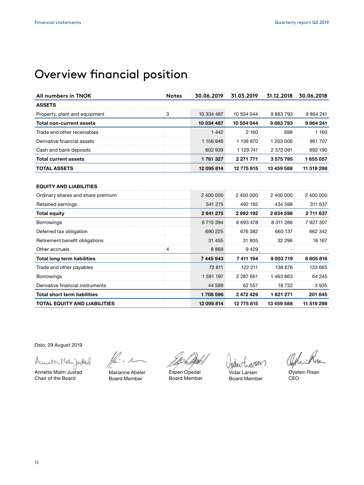# Overview financial position

| All numbers in TNOK                 | <b>Notes</b> | 30.06.2019 | 31.03.2019    | 31.12.2018 | 30.06.2018 |
|-------------------------------------|--------------|------------|---------------|------------|------------|
| <b>ASSETS</b>                       |              |            |               |            |            |
| Property, plant and equipment       | 3            | 10 334 487 | 10 504 044    | 9883793    | 9864241    |
| <b>Total non-current assets</b>     |              | 10 334 487 | 10 504 044    | 9883793    | 9864241    |
| Trade and other receivables         |              | 1 4 4 2    | 2 160         | 698        | 1 160      |
| Derivative financial assets         |              | 1 156 946  | 1 139 870     | 1 203 006  | 961 707    |
| Cash and bank deposits              |              | 602 939    | 1 129 741     | 2 372 091  | 692 190    |
| <b>Total current assets</b>         |              | 1761327    | 2 2 7 1 7 7 1 | 3 575 795  | 1 655 057  |
| <b>TOTAL ASSETS</b>                 |              | 12 095 814 | 12 775 815    | 13 459 588 | 11 519 298 |
| Ordinary shares and share premium   |              | 2 400 000  | 2 400 000     | 2 400 000  | 2 400 000  |
| <b>EQUITY AND LIABILITIES</b>       |              |            |               |            |            |
| Retained earnings                   |              | 541 275    | 492 192       | 434 598    | 311 637    |
| <b>Total equity</b>                 |              | 2941275    | 2892192       | 2834598    | 2 711 637  |
| <b>Borrowings</b>                   |              | 6715394    | 6 693 478     | 8 311 286  | 7927307    |
| Deferred tax obligation             |              | 690 225    | 676 382       | 660 137    | 662 342    |
| Retirement benefit obligations      |              | 31 455     | 31 905        | 32 296     | 16 167     |
| Other accruals                      | 4            | 8869       | 9429          |            |            |
| <b>Total long term liabilities</b>  |              | 7 445 943  | 7 411 194     | 9003719    | 8605816    |
| Trade and other payables            |              | 72 811     | 122 211       | 138 676    | 133 665    |
| <b>Borrowings</b>                   |              | 1 591 197  | 2 2 8 7 6 6 1 | 1463863    | 64 245     |
| Derivative financial instruments    |              | 44 589     | 62 557        | 18 732     | 3935       |
| <b>Total short term liabilities</b> |              | 1708 596   | 2 472 429     | 1621271    | 201 845    |
| <b>TOTAL EQUITY AND LIABILITIES</b> |              | 12 095 814 | 12 775 815    | 13 459 588 | 11 519 298 |

Oslo, 29 August 2019

Suncton Malen Judad

Annette Malm Justad Chair of the Board

Marianne Abeler Board Member

Espen Opedal Board Member

Vidar Larsen Board Member

Oghi Risa

Øystein Risan CEO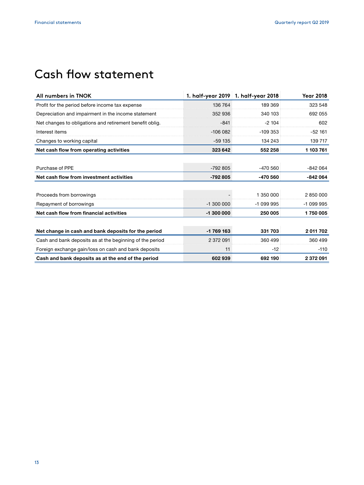## Cash flow statement

| All numbers in TNOK                                      |            | 1. half-year 2019 1. half-year 2018 | <b>Year 2018</b> |
|----------------------------------------------------------|------------|-------------------------------------|------------------|
| Profit for the period before income tax expense          | 136 764    | 189 369                             | 323 548          |
| Depreciation and impairment in the income statement      | 352 936    | 340 103                             | 692 055          |
| Net changes to obligations and retirement benefit oblig. | $-841$     | $-2104$                             | 602              |
| Interest items                                           | $-106082$  | $-109353$                           | $-52161$         |
| Changes to working capital                               | $-59135$   | 134 243                             | 139 717          |
| Net cash flow from operating activities                  | 323 642    | 552 258                             | 1 103 761        |
| Purchase of PPE                                          | $-792805$  | $-470560$                           | $-842064$        |
| Net cash flow from investment activities                 | -792 805   | -470 560                            | $-842064$        |
| Proceeds from borrowings                                 |            | 1 350 000                           | 2850000          |
| Repayment of borrowings                                  | $-1300000$ | $-1099995$                          | -1 099 995       |
| Net cash flow from financial activities                  | $-1300000$ | 250 005                             | 1750005          |
| Net change in cash and bank deposits for the period      | -1769163   | 331 703                             | 2011 702         |
| Cash and bank deposits as at the beginning of the period | 2 372 091  | 360 499                             | 360 499          |
| Foreign exchange gain/loss on cash and bank deposits     | 11         | $-12$                               | $-110$           |
| Cash and bank deposits as at the end of the period       | 602939     | 692 190                             | 2372091          |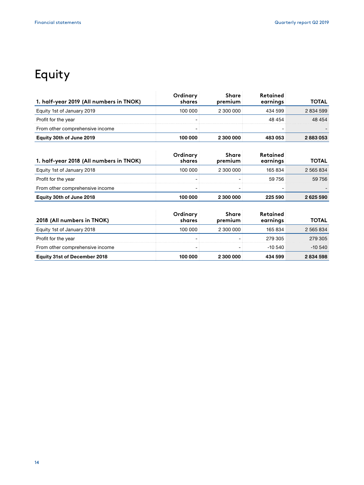# Equity

| 1. half-year 2019 (All numbers in TNOK) | Ordinary<br>shares | <b>Share</b><br>premium | <b>Retained</b><br>earnings | <b>TOTAL</b> |
|-----------------------------------------|--------------------|-------------------------|-----------------------------|--------------|
| Equity 1st of January 2019              | 100 000            | 2 300 000               | 434 599                     | 2 834 599    |
| Profit for the year                     |                    |                         | 48 454                      | 48 454       |
| From other comprehensive income         |                    |                         |                             |              |
| Equity 30th of June 2019                | 100 000            | 2 300 000               | 483 053                     | 2883053      |

| 1. half-year 2018 (All numbers in TNOK) | Ordinarv<br>shares | <b>Share</b><br>premium | Retained<br>earnings | TOTAL     |
|-----------------------------------------|--------------------|-------------------------|----------------------|-----------|
| Equity 1st of January 2018              | 100000             | 2300000                 | 165 834              | 2 565 834 |
| Profit for the year                     |                    |                         | 59 756               | 59 756    |
| From other comprehensive income         |                    |                         |                      |           |
| Equity 30th of June 2018                | 100 000            | 2 300 000               | 225 590              | 2625590   |

| 2018 (All numbers in TNOK)          | Ordinary<br>shares | <b>Share</b><br>premium | <b>Retained</b><br>earnings | <b>TOTAL</b> |
|-------------------------------------|--------------------|-------------------------|-----------------------------|--------------|
| Equity 1st of January 2018          | 100 000            | 2,300,000               | 165 834                     | 2 565 834    |
| Profit for the year                 |                    |                         | 279 305                     | 279 305      |
| From other comprehensive income     |                    |                         | -10 540                     | $-10,540$    |
| <b>Equity 31st of December 2018</b> | 100 000            | 2 300 000               | 434 599                     | 2834598      |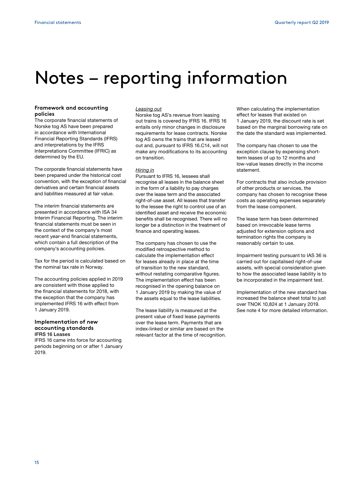# Notes – reporting information

### **Framework and accounting policies**

The corporate financial statements of Norske tog AS have been prepared in accordance with International Financial Reporting Standards (IFRS) and interpretations by the IFRS Interpretations Committee (IFRIC) as determined by the EU.

The corporate financial statements have been prepared under the historical cost convention, with the exception of financial derivatives and certain financial assets and liabilities measured at fair value.

The interim financial statements are presented in accordance with ISA 34 Interim Financial Reporting. The interim financial statements must be seen in the context of the company's most recent year-end financial statements, which contain a full description of the company's accounting policies.

Tax for the period is calculated based on the nominal tax rate in Norway.

The accounting policies applied in 2019 are consistent with those applied to the financial statements for 2018, with the exception that the company has implemented IFRS 16 with effect from 1 January 2019.

#### **Implementation of new accounting standards** IFRS 16 Leases

IFRS 16 came into force for accounting periods beginning on or after 1 January 2019.

#### *Leasing out*

Norske tog AS's revenue from leasing out trains is covered by IFRS 16. IFRS 16 entails only minor changes in disclosure requirements for lease contracts. Norske tog AS owns the trains that are leased out and, pursuant to IFRS 16.C14, will not make any modifications to its accounting on transition.

### *Hiring in*

Pursuant to IFRS 16, lessees shall recognise all leases in the balance sheet in the form of a liability to pay charges over the lease term and the associated right-of-use asset. All leases that transfer to the lessee the right to control use of an identified asset and receive the economic benefits shall be recognised. There will no longer be a distinction in the treatment of finance and operating leases.

The company has chosen to use the modified retrospective method to calculate the implementation effect for leases already in place at the time of transition to the new standard, without restating comparative figures. The implementation effect has been recognised in the opening balance on 1 January 2019 by making the value of the assets equal to the lease liabilities.

The lease liability is measured at the present value of fixed lease payments over the lease term. Payments that are index-linked or similar are based on the relevant factor at the time of recognition. When calculating the implementation effect for leases that existed on 1 January 2019, the discount rate is set based on the marginal borrowing rate on the date the standard was implemented.

The company has chosen to use the exception clause by expensing shortterm leases of up to 12 months and low-value leases directly in the income statement.

For contracts that also include provision of other products or services, the company has chosen to recognise these costs as operating expenses separately from the lease component.

The lease term has been determined based on irrevocable lease terms adjusted for extension options and termination rights the company is reasonably certain to use.

Impairment testing pursuant to IAS 36 is carried out for capitalised right-of-use assets, with special consideration given to how the associated lease liability is to be incorporated in the impairment test.

Implementation of the new standard has increased the balance sheet total to just over TNOK 10,824 at 1 January 2019. See note 4 for more detailed information.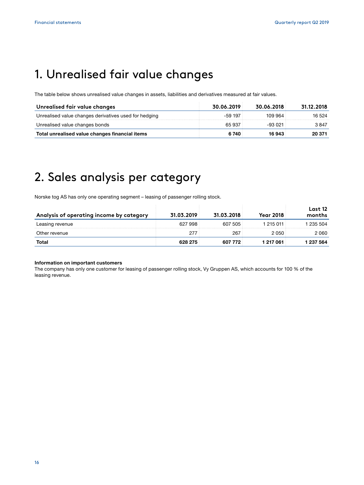# 1. Unrealised fair value changes

The table below shows unrealised value changes in assets, liabilities and derivatives measured at fair values.

| Unrealised fair value changes                         | 30.06.2019 | 30.06.2018 | 31.12.2018 |
|-------------------------------------------------------|------------|------------|------------|
| Unrealised value changes derivatives used for hedging | -59 197    | 109 964    | 16.524     |
| Unrealised value changes bonds                        | 65 937     | -93.021    | 3847       |
| Total unrealised value changes financial items        | 6 740      | 16 943     | 20 371     |

### 2. Sales analysis per category

Norske tog AS has only one operating segment – leasing of passenger rolling stock.

| Analysis of operating income by category | 31.03.2019 | 31.03.2018 | <b>Year 2018</b> | Last 12<br>months |
|------------------------------------------|------------|------------|------------------|-------------------|
| Leasing revenue                          | 627 998    | 607 505    | 1 215 011        | 1 235 504         |
| Other revenue                            | 277        | 267        | 2050             | 2060              |
| Total                                    | 628 275    | 607 772    | 1 217 061        | 1 237 564         |

 $\overline{\phantom{a}}$ 

 $\overline{\phantom{a}}$ 

#### **Information on important customers**

The company has only one customer for leasing of passenger rolling stock, Vy Gruppen AS, which accounts for 100 % of the leasing revenue.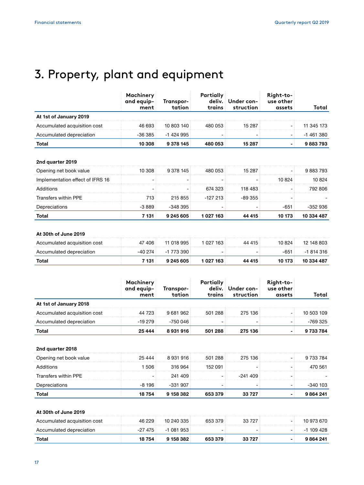# 3. Property, plant and equipment

|                                  | Machinery<br>and equip-<br>ment | Transpor-<br>tation | Partially<br>trains | deliv. Under con-<br>struction | Right-to-<br>use other<br>assets | Total      |
|----------------------------------|---------------------------------|---------------------|---------------------|--------------------------------|----------------------------------|------------|
| At 1st of January 2019           |                                 |                     |                     |                                |                                  |            |
| Accumulated acquisition cost     | 46 693                          | 10 803 140          | 480 053             | 15 287                         |                                  | 11 345 173 |
| Accumulated depreciation         | -36 385                         | -1 424 995          |                     |                                | - 1                              | -1 461 380 |
| Total                            | 10 308                          | 9 3 78 145          | 480 053             | 15 287                         |                                  | 9883793    |
| Opening net book value           | 10 308                          | 9 378 145           | 480 053             | 15 287                         |                                  | 9883793    |
| 2nd quarter 2019                 |                                 |                     |                     |                                |                                  |            |
| Implementation effect of IFRS 16 |                                 |                     |                     |                                | 10 824                           | 10824      |
|                                  |                                 |                     |                     |                                |                                  |            |
| <b>Additions</b>                 |                                 |                     | 674 323             | 118 483                        |                                  | 792 806    |
| <b>Transfers within PPE</b>      | 713                             | 215 855             | $-127213$           | $-89355$                       |                                  |            |
| Depreciations                    | $-3889$                         | -348 395            |                     |                                | -651                             | -352 936   |
| Total                            | 7 131                           | 9 245 605           | 1027163             | 44 4 15                        | 10 173                           | 10 334 487 |
| At 30th of June 2019             |                                 |                     |                     |                                |                                  |            |
| Accumulated acquisition cost     | 47 406                          | 11 018 995          | 1 027 163           | 44 415                         | 10 824                           | 12 148 803 |

|                          |                 | .          | .         | .      | .      | .          |
|--------------------------|-----------------|------------|-----------|--------|--------|------------|
| Accumulated depreciation | $-40.274$       | -1 773 390 |           | -      | $-651$ | $-1814316$ |
| Total                    | $^{\prime}$ 131 | 9 245 605  | 1 027 163 | 44 415 | 10 173 | 10 334 487 |
|                          |                 |            |           |        |        |            |

|                              | Machinery<br>and eauip-<br>ment | Transpor-<br>tation | Partially<br>trains | deliv. Under con-<br>struction | Right-to-<br>use other<br>assets | Total      |
|------------------------------|---------------------------------|---------------------|---------------------|--------------------------------|----------------------------------|------------|
| At 1st of January 2018       |                                 |                     |                     |                                |                                  |            |
| Accumulated acquisition cost | 44 723                          | 9681962             | 501288              | 275 136                        |                                  | 10 503 109 |
| Accumulated depreciation     | $-19.279$                       | -750 046            |                     |                                |                                  | -769 325   |
| Total                        | 25 444                          | 8931916             | 501288              | 275 136                        |                                  | 9 733 784  |

#### **2nd quarter 2018**

| Opening net book value | 25 4 44 | 8 931 916 | 501 288 | 275 136   | 9 733 784 |
|------------------------|---------|-----------|---------|-----------|-----------|
| Additions              | 1.506 i | 316.964   | 152 091 |           | 470 561   |
| Transfers within PPE   |         | 241 409   |         | $-241409$ |           |
| Depreciations          | -8 196  | -331 907  |         |           | -340 103  |
| Total                  | 18 754  | 9 158 382 | 53 379  | 33 727    | 9864241   |

### **At 30th of June 2019**

| Accumulated acquisition cost | 46 229    | 10 240 335 | 653379  | 33 727 |   | 10 973 670 |
|------------------------------|-----------|------------|---------|--------|---|------------|
| Accumulated depreciation     | $-27.475$ | $-1081953$ |         |        | - | $-1109428$ |
| Total                        | 18 754    | 9 158 382  | 6533379 | 797    |   | 9864241    |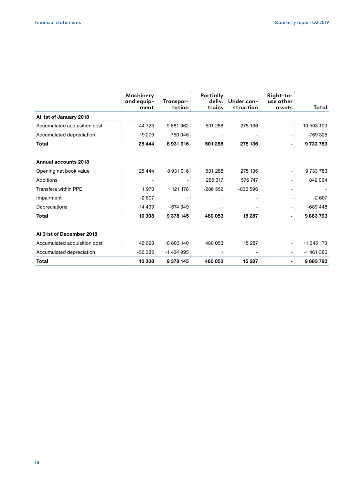|                              | <b>Machinery</b><br>and equip-<br>ment | Transpor-<br>tation | Partially<br>trains | deliv. Under con-<br>struction | Right-to-<br>use other<br>assets | Total      |
|------------------------------|----------------------------------------|---------------------|---------------------|--------------------------------|----------------------------------|------------|
| At 1st of January 2018       |                                        |                     |                     |                                |                                  |            |
| Accumulated acquisition cost | 44 723                                 | 9681962             | 501288              | 275 136                        |                                  | 10 503 109 |
| Accumulated depreciation     | $-19279$                               | -750 046            |                     |                                |                                  | -769 325   |
| Total                        | 25 4 44                                | 8931916             | 501 288             | 275 136                        |                                  | 9733783    |

### **Annual accounts 2018**

| Opening net book value | 25 4 4 4 | 8 931 916 | 501288    | 275 136  | 9 733 783 |
|------------------------|----------|-----------|-----------|----------|-----------|
| Additions              |          |           | 265 317   | 576 747  | 842 064   |
| Transfers within PPE   | 970.     | 1 121 178 | $-286552$ | -836 596 |           |
| Impairment             | $-2607$  |           |           |          | -2.607    |
| Depreciations          | -14 499  | -674 949  |           |          | -689 448  |
| Total                  | 10 308   | 9 378 145 | 053       | 15 287   | 9883793   |

### **At 31st of December 2018**

| Accumulated acquisition cost | 46 693    | 10 803 140 | 480 053 | 15 287 | - | 11 345 173 |
|------------------------------|-----------|------------|---------|--------|---|------------|
| Accumulated depreciation     | -36 385 : | $-1424995$ |         |        | - | -1 461 380 |
| Total                        | 10 308    | 9 378 145  | 480 053 | 15 287 |   | 9883793    |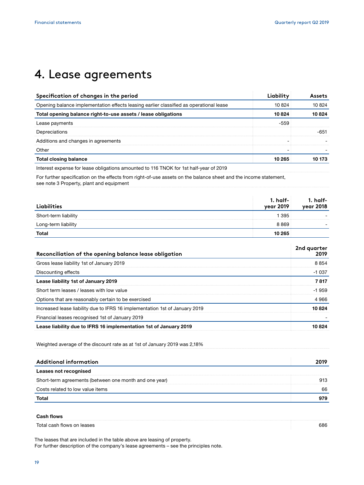### 4. Lease agreements

| Specification of changes in the period                                                 |        |        |  |
|----------------------------------------------------------------------------------------|--------|--------|--|
| Opening balance implementation effects leasing earlier classified as operational lease | 10824  | 10824  |  |
| Total opening balance right-to-use assets / lease obligations                          | 10 824 | 10 824 |  |
| Lease payments                                                                         |        |        |  |
| Depreciations                                                                          |        |        |  |
| Additions and changes in agreements                                                    |        |        |  |
| Other                                                                                  |        |        |  |
| <b>Total closing balance</b>                                                           | 10 265 |        |  |

Interest expense for lease obligations amounted to 116 TNOK for 1st half-year of 2019

For further specification on the effects from right-of-use assets on the balance sheet and the income statement, see note 3 Property, plant and equipment

| Liabilities          | 1. half- $\overline{a}$<br>year 2019 | -1. half<br>1018 year |
|----------------------|--------------------------------------|-----------------------|
| Short-term liability | 1395                                 |                       |
| Long-term liability  | 8 869.                               |                       |
| Total                | 10 265                               |                       |

| Reconciliation of the opening balance lease obligation                      | 2nd quarter<br>2019 |
|-----------------------------------------------------------------------------|---------------------|
| Gross lease liability 1st of January 2019                                   | 8854                |
| Discounting effects                                                         | $-1037$             |
| Lease liability 1st of January 2019                                         | 7817                |
| Short term leases / leases with low value                                   | $-1959$             |
| Options that are reasonably certain to be exercised                         | 4966                |
| Increased lease liability due to IFRS 16 implementation 1st of January 2019 | 10824               |
| Financial leases recognised 1st of January 2019                             |                     |
| Lease liability due to IFRS 16 implementation 1st of January 2019           | በ ጸ24               |

Weighted average of the discount rate as at 1st of January 2019 was 2,18%

| Additional information                                 |    |
|--------------------------------------------------------|----|
| Leases not recognised                                  |    |
| Short-term agreements (between one month and one year) |    |
| Costs related to low value items                       | 66 |
| Tota.                                                  |    |

### **Cash flows**

Total cash flows on leases 686

The leases that are included in the table above are leasing of property. For further description of the company's lease agreements – see the principles note.